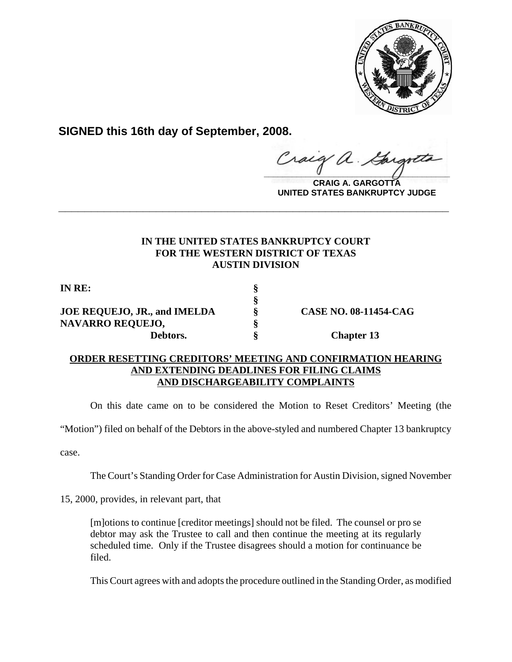

**SIGNED this 16th day of September, 2008.**

**\_\_\_\_\_\_\_\_\_\_\_\_\_\_\_\_\_\_\_\_\_\_\_\_\_\_\_\_\_\_\_\_\_\_\_\_\_\_\_\_**

**CRAIG A. GARGOTTA UNITED STATES BANKRUPTCY JUDGE**

## **IN THE UNITED STATES BANKRUPTCY COURT FOR THE WESTERN DISTRICT OF TEXAS AUSTIN DIVISION**

**\_\_\_\_\_\_\_\_\_\_\_\_\_\_\_\_\_\_\_\_\_\_\_\_\_\_\_\_\_\_\_\_\_\_\_\_\_\_\_\_\_\_\_\_\_\_\_\_\_\_\_\_\_\_\_\_\_\_\_\_**

**§**

**IN RE: §**

## **JOE REQUEJO, JR., and IMELDA § CASE NO. 08-11454-CAG NAVARRO REQUEJO, § Debtors.** § Chapter 13

## **ORDER RESETTING CREDITORS' MEETING AND CONFIRMATION HEARING AND EXTENDING DEADLINES FOR FILING CLAIMS AND DISCHARGEABILITY COMPLAINTS**

On this date came on to be considered the Motion to Reset Creditors' Meeting (the

"Motion") filed on behalf of the Debtors in the above-styled and numbered Chapter 13 bankruptcy

case.

The Court's Standing Order for Case Administration for Austin Division, signed November

15, 2000, provides, in relevant part, that

[m]otions to continue [creditor meetings] should not be filed. The counsel or pro se debtor may ask the Trustee to call and then continue the meeting at its regularly scheduled time. Only if the Trustee disagrees should a motion for continuance be filed.

This Court agrees with and adopts the procedure outlined in the Standing Order, as modified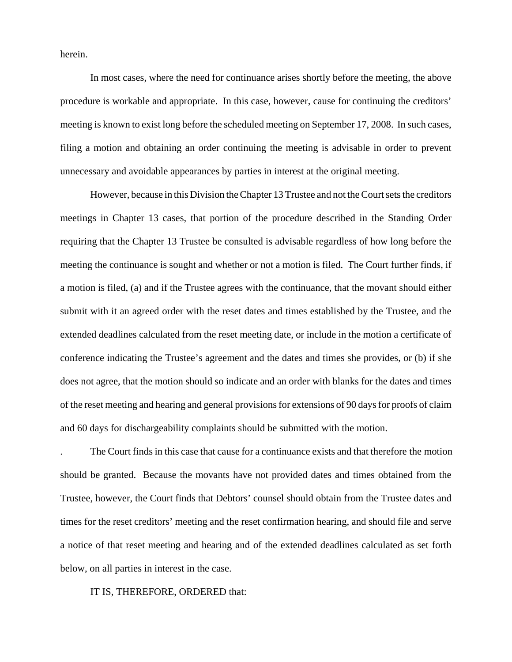herein.

In most cases, where the need for continuance arises shortly before the meeting, the above procedure is workable and appropriate. In this case, however, cause for continuing the creditors' meeting is known to exist long before the scheduled meeting on September 17, 2008. In such cases, filing a motion and obtaining an order continuing the meeting is advisable in order to prevent unnecessary and avoidable appearances by parties in interest at the original meeting.

However, because in this Division the Chapter 13 Trustee and not the Court sets the creditors meetings in Chapter 13 cases, that portion of the procedure described in the Standing Order requiring that the Chapter 13 Trustee be consulted is advisable regardless of how long before the meeting the continuance is sought and whether or not a motion is filed. The Court further finds, if a motion is filed, (a) and if the Trustee agrees with the continuance, that the movant should either submit with it an agreed order with the reset dates and times established by the Trustee, and the extended deadlines calculated from the reset meeting date, or include in the motion a certificate of conference indicating the Trustee's agreement and the dates and times she provides, or (b) if she does not agree, that the motion should so indicate and an order with blanks for the dates and times of the reset meeting and hearing and general provisions for extensions of 90 days for proofs of claim and 60 days for dischargeability complaints should be submitted with the motion.

. The Court finds in this case that cause for a continuance exists and that therefore the motion should be granted. Because the movants have not provided dates and times obtained from the Trustee, however, the Court finds that Debtors' counsel should obtain from the Trustee dates and times for the reset creditors' meeting and the reset confirmation hearing, and should file and serve a notice of that reset meeting and hearing and of the extended deadlines calculated as set forth below, on all parties in interest in the case.

## IT IS, THEREFORE, ORDERED that: